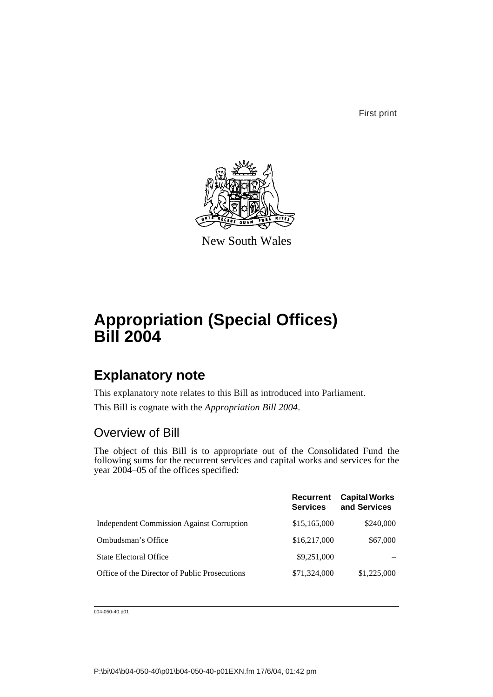First print



New South Wales

# **Appropriation (Special Offices) Bill 2004**

# **Explanatory note**

This explanatory note relates to this Bill as introduced into Parliament.

This Bill is cognate with the *Appropriation Bill 2004*.

## Overview of Bill

The object of this Bill is to appropriate out of the Consolidated Fund the following sums for the recurrent services and capital works and services for the year 2004–05 of the offices specified:

|                                                  | <b>Recurrent</b><br><b>Services</b> | <b>Capital Works</b><br>and Services |
|--------------------------------------------------|-------------------------------------|--------------------------------------|
| <b>Independent Commission Against Corruption</b> | \$15,165,000                        | \$240,000                            |
| Ombudsman's Office                               | \$16,217,000                        | \$67,000                             |
| State Electoral Office                           | \$9,251,000                         |                                      |
| Office of the Director of Public Prosecutions    | \$71,324,000                        | \$1,225,000                          |

b04-050-40.p01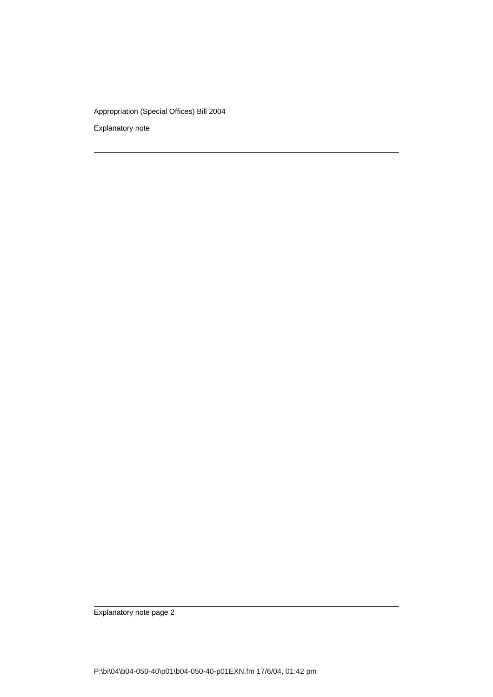Appropriation (Special Offices) Bill 2004

Explanatory note

Explanatory note page 2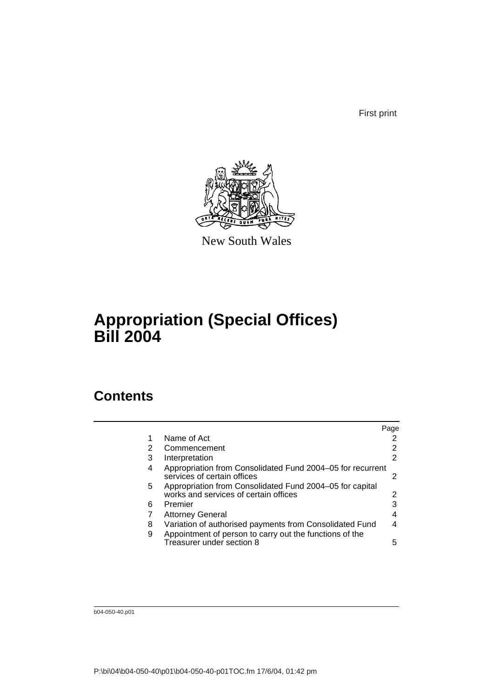First print



New South Wales

# **Appropriation (Special Offices) Bill 2004**

## **Contents**

|    |                                                                                                   | Page |
|----|---------------------------------------------------------------------------------------------------|------|
|    | Name of Act                                                                                       | 2    |
| 2  | Commencement                                                                                      | 2    |
| 3  | Interpretation                                                                                    | 2    |
| 4  | Appropriation from Consolidated Fund 2004-05 for recurrent<br>services of certain offices         | 2    |
| 5. | Appropriation from Consolidated Fund 2004–05 for capital<br>works and services of certain offices | 2    |
| 6  | Premier                                                                                           | 3    |
|    | <b>Attorney General</b>                                                                           | 4    |
| 8  | Variation of authorised payments from Consolidated Fund                                           | 4    |
| 9  | Appointment of person to carry out the functions of the<br>Treasurer under section 8              | 5    |

b04-050-40.p01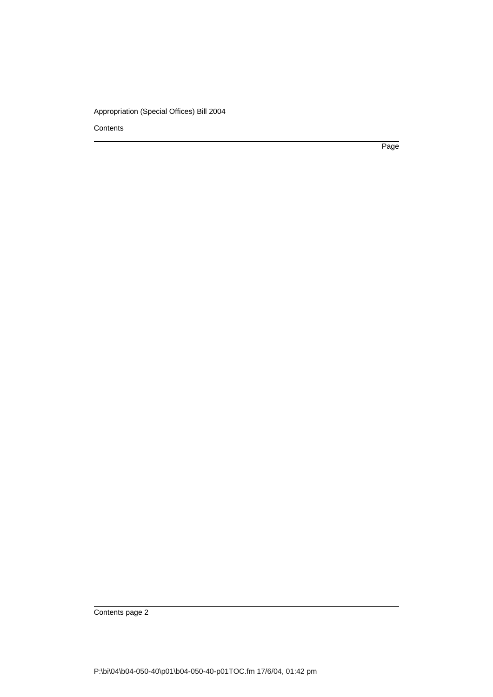## Appropriation (Special Offices) Bill 2004

**Contents** 

Page

Contents page 2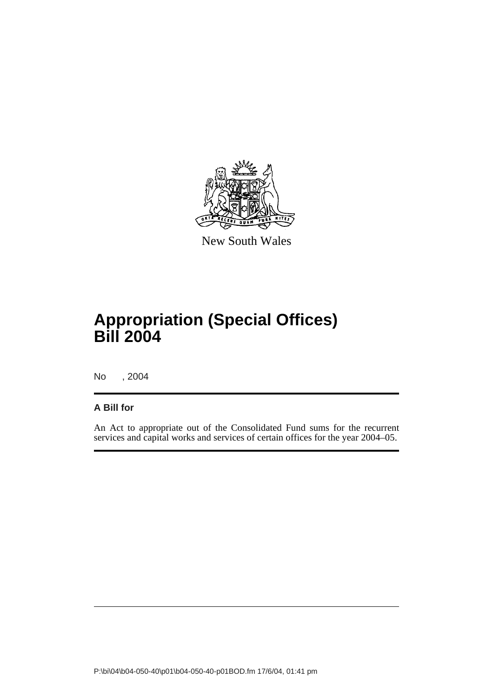

New South Wales

# **Appropriation (Special Offices) Bill 2004**

No , 2004

#### **A Bill for**

An Act to appropriate out of the Consolidated Fund sums for the recurrent services and capital works and services of certain offices for the year 2004–05.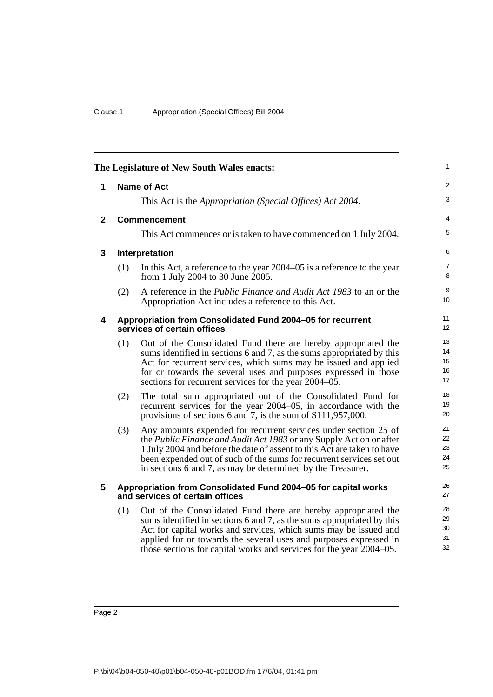| The Legislature of New South Wales enacts: |     |                                                                                                                                                                                                                                                                                                                                                          | 1                          |
|--------------------------------------------|-----|----------------------------------------------------------------------------------------------------------------------------------------------------------------------------------------------------------------------------------------------------------------------------------------------------------------------------------------------------------|----------------------------|
| 1                                          |     | <b>Name of Act</b>                                                                                                                                                                                                                                                                                                                                       | 2                          |
|                                            |     | This Act is the <i>Appropriation (Special Offices) Act 2004</i> .                                                                                                                                                                                                                                                                                        | $\mathbf 3$                |
| $\mathbf{2}$                               |     | <b>Commencement</b>                                                                                                                                                                                                                                                                                                                                      | 4                          |
|                                            |     | This Act commences or is taken to have commenced on 1 July 2004.                                                                                                                                                                                                                                                                                         | 5                          |
| 3                                          |     | Interpretation                                                                                                                                                                                                                                                                                                                                           | 6                          |
|                                            | (1) | In this Act, a reference to the year 2004–05 is a reference to the year<br>from 1 July 2004 to 30 June 2005.                                                                                                                                                                                                                                             | $\boldsymbol{7}$<br>8      |
|                                            | (2) | A reference in the <i>Public Finance and Audit Act 1983</i> to an or the<br>Appropriation Act includes a reference to this Act.                                                                                                                                                                                                                          | $9\,$<br>10                |
| 4                                          |     | Appropriation from Consolidated Fund 2004-05 for recurrent<br>services of certain offices                                                                                                                                                                                                                                                                | 11<br>12                   |
|                                            | (1) | Out of the Consolidated Fund there are hereby appropriated the<br>sums identified in sections 6 and 7, as the sums appropriated by this<br>Act for recurrent services, which sums may be issued and applied<br>for or towards the several uses and purposes expressed in those<br>sections for recurrent services for the year 2004–05.                  | 13<br>14<br>15<br>16<br>17 |
|                                            | (2) | The total sum appropriated out of the Consolidated Fund for<br>recurrent services for the year 2004–05, in accordance with the<br>provisions of sections 6 and 7, is the sum of \$111,957,000.                                                                                                                                                           | 18<br>19<br>20             |
|                                            | (3) | Any amounts expended for recurrent services under section 25 of<br>the Public Finance and Audit Act 1983 or any Supply Act on or after<br>1 July 2004 and before the date of assent to this Act are taken to have<br>been expended out of such of the sums for recurrent services set out<br>in sections 6 and 7, as may be determined by the Treasurer. | 21<br>22<br>23<br>24<br>25 |
| 5                                          |     | Appropriation from Consolidated Fund 2004-05 for capital works<br>and services of certain offices                                                                                                                                                                                                                                                        | 26<br>27                   |
|                                            | (1) | Out of the Consolidated Fund there are hereby appropriated the<br>sums identified in sections 6 and 7, as the sums appropriated by this<br>Act for capital works and services, which sums may be issued and<br>applied for or towards the several uses and purposes expressed in<br>those sections for capital works and services for the year 2004–05.  | 28<br>29<br>30<br>31<br>32 |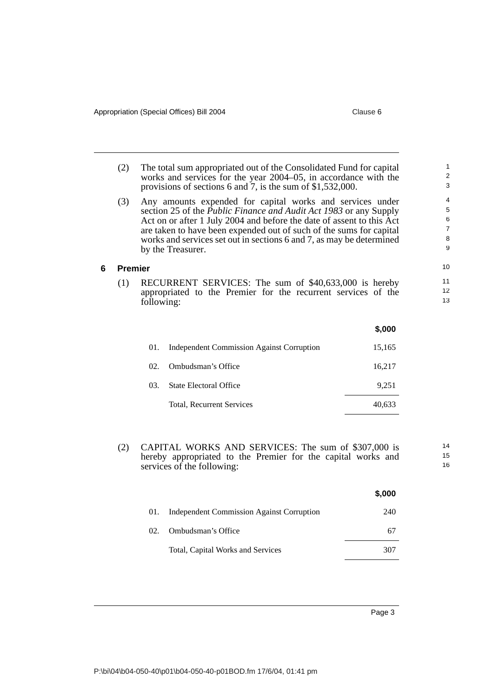14 15 16

**\$,000**

(2) The total sum appropriated out of the Consolidated Fund for capital works and services for the year 2004–05, in accordance with the provisions of sections 6 and 7, is the sum of \$1,532,000. (3) Any amounts expended for capital works and services under section 25 of the *Public Finance and Audit Act 1983* or any Supply Act on or after 1 July 2004 and before the date of assent to this Act are taken to have been expended out of such of the sums for capital works and services set out in sections 6 and 7, as may be determined by the Treasurer.

#### **6 Premier**

(1) RECURRENT SERVICES: The sum of \$40,633,000 is hereby appropriated to the Premier for the recurrent services of the following:

|     |                                                  | J.UUU  |
|-----|--------------------------------------------------|--------|
| 01. | <b>Independent Commission Against Corruption</b> | 15,165 |
| 02. | Ombudsman's Office                               | 16,217 |
| 03. | State Electoral Office                           | 9.251  |
|     | Total, Recurrent Services                        | 40.633 |

(2) CAPITAL WORKS AND SERVICES: The sum of \$307,000 is hereby appropriated to the Premier for the capital works and services of the following:

|                                               | \$,000 |
|-----------------------------------------------|--------|
| 01. Independent Commission Against Corruption | 240    |
| 02. Ombudsman's Office                        | 67     |
| Total, Capital Works and Services             | 307    |

Page 3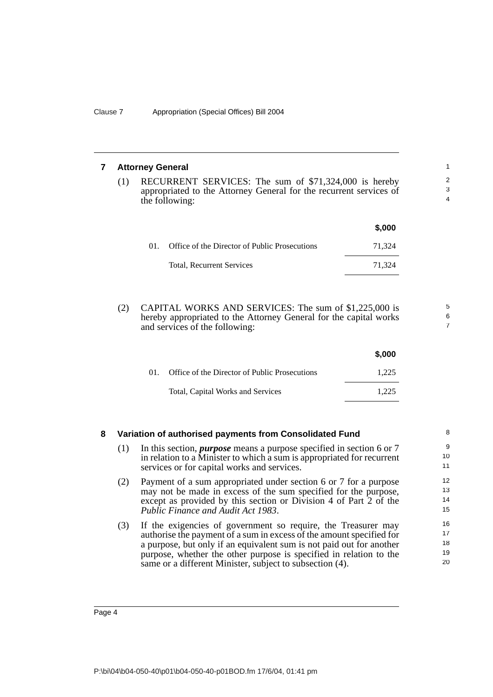#### **7 Attorney General**

(1) RECURRENT SERVICES: The sum of \$71,324,000 is hereby appropriated to the Attorney General for the recurrent services of the following:

|                                               | \$.000 |
|-----------------------------------------------|--------|
| Office of the Director of Public Prosecutions | 71.324 |
| <b>Total, Recurrent Services</b>              | 71.324 |

**\$,000**

5 6 7

(2) CAPITAL WORKS AND SERVICES: The sum of \$1,225,000 is hereby appropriated to the Attorney General for the capital works and services of the following:

|                                               | \$,000 |
|-----------------------------------------------|--------|
| Office of the Director of Public Prosecutions | 1.225  |
| Total, Capital Works and Services             | 1.225  |

#### **8 Variation of authorised payments from Consolidated Fund**

- (1) In this section, *purpose* means a purpose specified in section 6 or 7 in relation to a Minister to which a sum is appropriated for recurrent services or for capital works and services.
- (2) Payment of a sum appropriated under section 6 or 7 for a purpose may not be made in excess of the sum specified for the purpose, except as provided by this section or Division 4 of Part 2 of the *Public Finance and Audit Act 1983*.
- (3) If the exigencies of government so require, the Treasurer may authorise the payment of a sum in excess of the amount specified for a purpose, but only if an equivalent sum is not paid out for another purpose, whether the other purpose is specified in relation to the same or a different Minister, subject to subsection (4).

Page 4